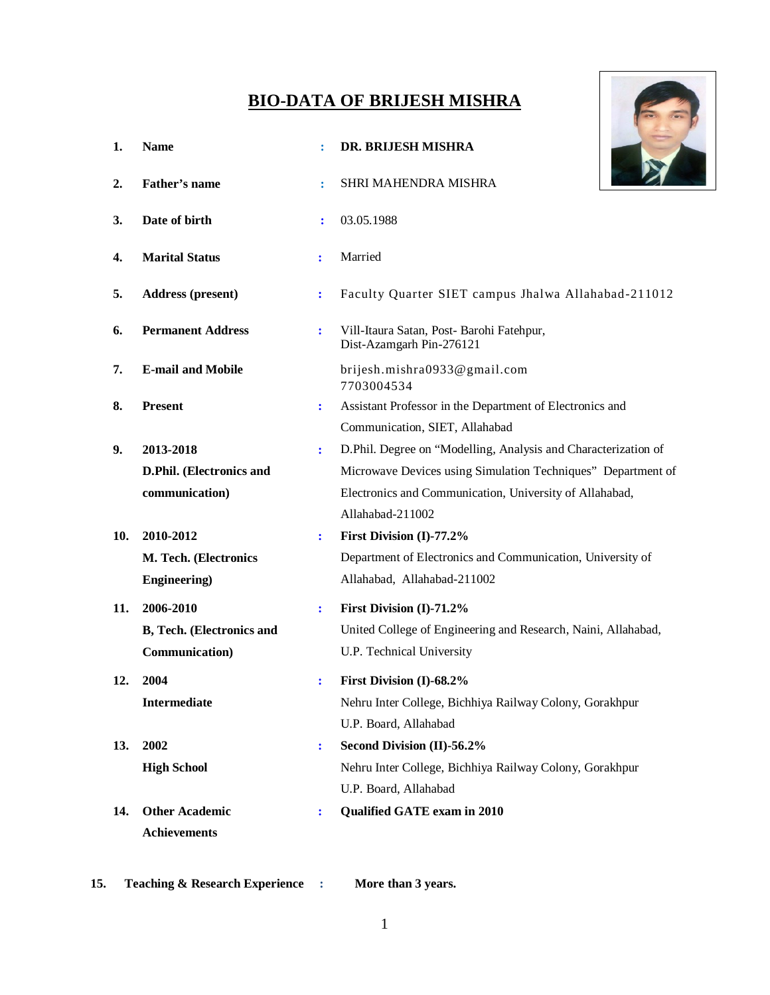# **BIO-DATA OF BRIJESH MISHRA**

| <b>BIO-DATA OF BRIJESH MISHRA</b> |                           |                |                                                                       |
|-----------------------------------|---------------------------|----------------|-----------------------------------------------------------------------|
| 1.                                | <b>Name</b>               |                | DR. BRIJESH MISHRA                                                    |
| 2.                                | Father's name             |                | SHRI MAHENDRA MISHRA                                                  |
| 3.                                | Date of birth             |                | 03.05.1988                                                            |
| 4.                                | <b>Marital Status</b>     | ÷              | Married                                                               |
| 5.                                | <b>Address (present)</b>  | $\ddot{\cdot}$ | Faculty Quarter SIET campus Jhalwa Allahabad-211012                   |
| 6.                                | <b>Permanent Address</b>  | $\ddot{\cdot}$ | Vill-Itaura Satan, Post- Barohi Fatehpur,<br>Dist-Azamgarh Pin-276121 |
| 7.                                | <b>E-mail and Mobile</b>  |                | brijesh.mishra0933@gmail.com<br>7703004534                            |
| 8.                                | <b>Present</b>            | ÷              | Assistant Professor in the Department of Electronics and              |
|                                   |                           |                | Communication, SIET, Allahabad                                        |
| 9.                                | 2013-2018                 | $\ddot{\cdot}$ | D.Phil. Degree on "Modelling, Analysis and Characterization of        |
|                                   | D.Phil. (Electronics and  |                | Microwave Devices using Simulation Techniques" Department of          |
|                                   | communication)            |                | Electronics and Communication, University of Allahabad,               |
|                                   |                           |                | Allahabad-211002                                                      |
| 10.                               | 2010-2012                 | ÷              | First Division (I)-77.2%                                              |
|                                   | M. Tech. (Electronics     |                | Department of Electronics and Communication, University of            |
|                                   | <b>Engineering</b> )      |                | Allahabad, Allahabad-211002                                           |
| 11.                               | 2006-2010                 | $\ddot{\cdot}$ | First Division (I)-71.2%                                              |
|                                   | B, Tech. (Electronics and |                | United College of Engineering and Research, Naini, Allahabad,         |
|                                   | Communication)            |                | U.P. Technical University                                             |
| 12.                               | 2004                      | $\ddot{\cdot}$ | First Division (I)-68.2%                                              |
|                                   | Intermediate              |                | Nehru Inter College, Bichhiya Railway Colony, Gorakhpur               |
|                                   |                           |                | U.P. Board, Allahabad                                                 |
| 13.                               | 2002                      | ÷              | Second Division (II)-56.2%                                            |
|                                   | <b>High School</b>        |                | Nehru Inter College, Bichhiya Railway Colony, Gorakhpur               |
|                                   |                           |                | U.P. Board, Allahabad                                                 |
| 14.                               | <b>Other Academic</b>     | ÷              | Qualified GATE exam in 2010                                           |
|                                   | <b>Achievements</b>       |                |                                                                       |
|                                   |                           |                |                                                                       |

**15. Teaching & Research Experience : More than 3 years.**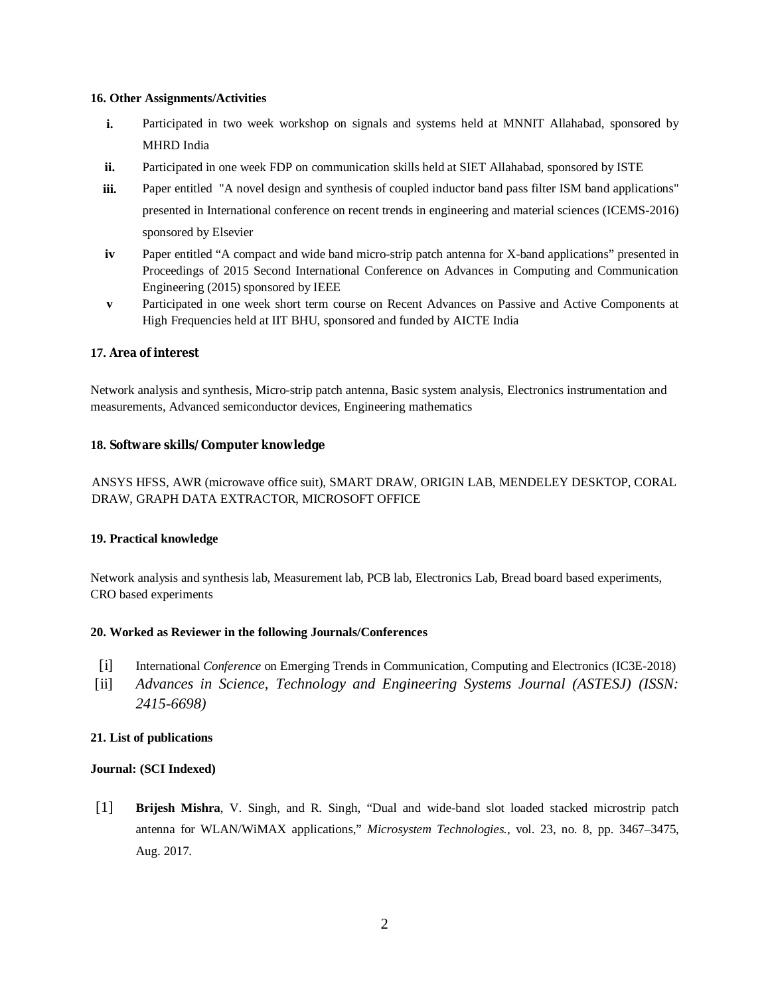#### **16. Other Assignments/Activities**

- **i.** Participated in two week workshop on signals and systems held at MNNIT Allahabad, sponsored by MHRD India
- **ii.** Participated in one week FDP on communication skills held at SIET Allahabad, sponsored by ISTE
- **iii.** Paper entitled "A novel design and synthesis of coupled inductor band pass filter ISM band applications" presented in International conference on recent trends in engineering and material sciences (ICEMS-2016) sponsored by Elsevier
- **iv** Paper entitled "A compact and wide band micro-strip patch antenna for X-band applications" presented in Proceedings of 2015 Second International Conference on Advances in Computing and Communication Engineering (2015) sponsored by IEEE
- **v** Participated in one week short term course on Recent Advances on Passive and Active Components at High Frequencies held at IIT BHU, sponsored and funded by AICTE India

## **17. Area of interest**

Network analysis and synthesis, Micro-strip patch antenna, Basic system analysis, Electronics instrumentation and measurements, Advanced semiconductor devices, Engineering mathematics

## **18. Software skills/Computer knowledge**

ANSYS HFSS, AWR (microwave office suit), SMART DRAW, ORIGIN LAB, MENDELEY DESKTOP, CORAL DRAW, GRAPH DATA EXTRACTOR, MICROSOFT OFFICE

## **19. Practical knowledge**

Network analysis and synthesis lab, Measurement lab, PCB lab, Electronics Lab, Bread board based experiments, CRO based experiments

## **20. Worked as Reviewer in the following Journals/Conferences**

- [i] International *Conference* on Emerging Trends in Communication, Computing and Electronics (IC3E-2018)
- [ii] *Advances in Science, Technology and Engineering Systems Journal (ASTESJ) (ISSN: 2415-6698)*

## **21. List of publications**

## **Journal: (SCI Indexed)**

[1] **Brijesh Mishra**, V. Singh, and R. Singh, "Dual and wide-band slot loaded stacked microstrip patch antenna for WLAN/WiMAX applications," *Microsystem Technologies.*, vol. 23, no. 8, pp. 3467–3475, Aug. 2017.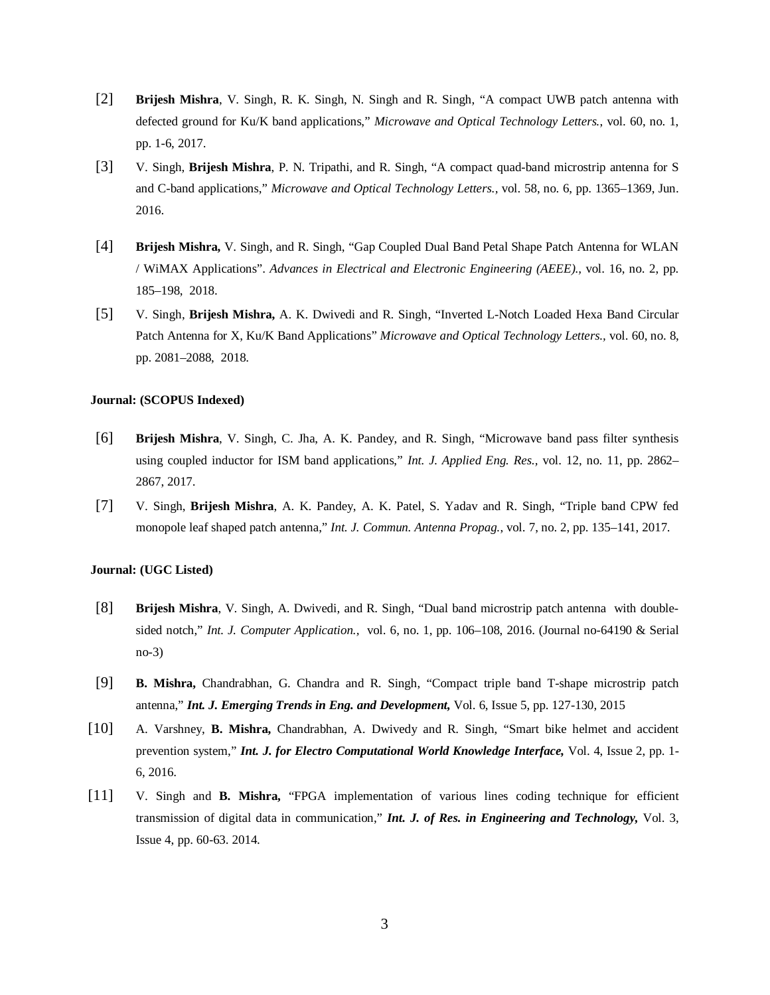- [2] **Brijesh Mishra**, V. Singh, R. K. Singh, N. Singh and R. Singh, "A compact UWB patch antenna with defected ground for Ku/K band applications," *Microwave and Optical Technology Letters.*, vol. 60, no. 1, pp. 1-6, 2017.
- [3] V. Singh, **Brijesh Mishra**, P. N. Tripathi, and R. Singh, "A compact quad-band microstrip antenna for S and C-band applications," *Microwave and Optical Technology Letters.,* vol. 58, no. 6, pp. 1365–1369, Jun. 2016.
- [4] **Brijesh Mishra,** V. Singh, and R. Singh, "Gap Coupled Dual Band Petal Shape Patch Antenna for WLAN / WiMAX Applications". *Advances in Electrical and Electronic Engineering (AEEE).,* vol. 16, no. 2, pp. 185–198, 2018.
- [5] V. Singh, **Brijesh Mishra,** A. K. Dwivedi and R. Singh, "Inverted L-Notch Loaded Hexa Band Circular Patch Antenna for X, Ku/K Band Applications" *Microwave and Optical Technology Letters.,* vol. 60, no. 8, pp. 2081–2088, 2018.

#### **Journal: (SCOPUS Indexed)**

- [6] **Brijesh Mishra**, V. Singh, C. Jha, A. K. Pandey, and R. Singh, "Microwave band pass filter synthesis using coupled inductor for ISM band applications," *Int. J. Applied Eng. Res.,* vol. 12, no. 11, pp. 2862– 2867, 2017.
- [7] V. Singh, **Brijesh Mishra**, A. K. Pandey, A. K. Patel, S. Yadav and R. Singh, "Triple band CPW fed monopole leaf shaped patch antenna," *Int. J. Commun. Antenna Propag.*, vol. 7, no. 2, pp. 135–141, 2017.

#### **Journal: (UGC Listed)**

- [8] **Brijesh Mishra**, V. Singh, A. Dwivedi, and R. Singh, "Dual band microstrip patch antenna with doublesided notch," *Int. J. Computer Application.,* vol. 6, no. 1, pp. 106–108, 2016. (Journal no-64190 & Serial no-3)
- [9] **B. Mishra,** Chandrabhan, G. Chandra and R. Singh, "Compact triple band T-shape microstrip patch antenna," *Int. J. Emerging Trends in Eng. and Development,* Vol. 6, Issue 5, pp. 127-130, 2015
- [10] A. Varshney, **B. Mishra,** Chandrabhan, A. Dwivedy and R. Singh, "Smart bike helmet and accident prevention system," *Int. J. for Electro Computational World Knowledge Interface,* Vol. 4, Issue 2, pp. 1- 6, 2016.
- [11] V. Singh and **B. Mishra,** "FPGA implementation of various lines coding technique for efficient transmission of digital data in communication," *Int. J. of Res. in Engineering and Technology,* Vol. 3, Issue 4, pp. 60-63. 2014.